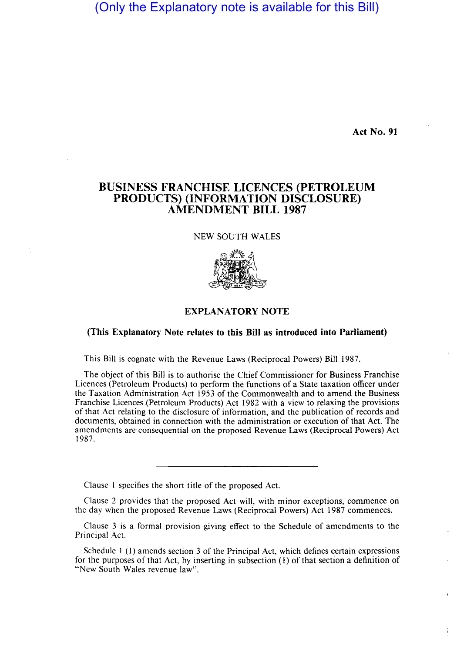(Only the Explanatory note is available for this Bill)

**Act No. 91** 

## **BUSINESS FRANCHISE LICENCES (PETROLEUM PRODUCTS) (INFORMATION DISCLOSURE) AMENDMENT BILL 1987**

NEW SOUTH WALES



## **EXPLANATORY NOTE**

## **(This Explanatory Note relates to this Bill as introduced into Parliament)**

This Bill is cognate with the Revenue Laws (Reciprocal Powers) Bill 1987.

The object of this Bill is to authorise the Chief Commissioner for Business Franchise Licences (Petroleum Products) to perform the functions of a State taxation officer under the Taxation Administration Act 1953 of the Commonwealth and to amend the Business Franchise Licences (Petroleum Products) Act 1982 with a view to relaxing the provisions of that Act relating to the disclosure of information, and the publication of records and documents, obtained in connection with the administration or execution of that Act. The amendments are consequential on the proposed Revenue Laws (Reciprocal Powers) Act 1987.

Clause I specifies the short title of the proposed Act.

Clause 2 provides that the proposed Act will, with minor exceptions, commence on the day when the proposed Revenue Laws (Reciprocal Powers) Act 1987 commences.

Clause 3 is a formal provision giving effect to the Schedule of amendments to the Principal Act.

Schedule I (I) amends section 3 of the Principal Act, which defines certain expressions for the purposes of that Act, by inserting in subsection (I) of that section a definition of "New South Wales revenue law".